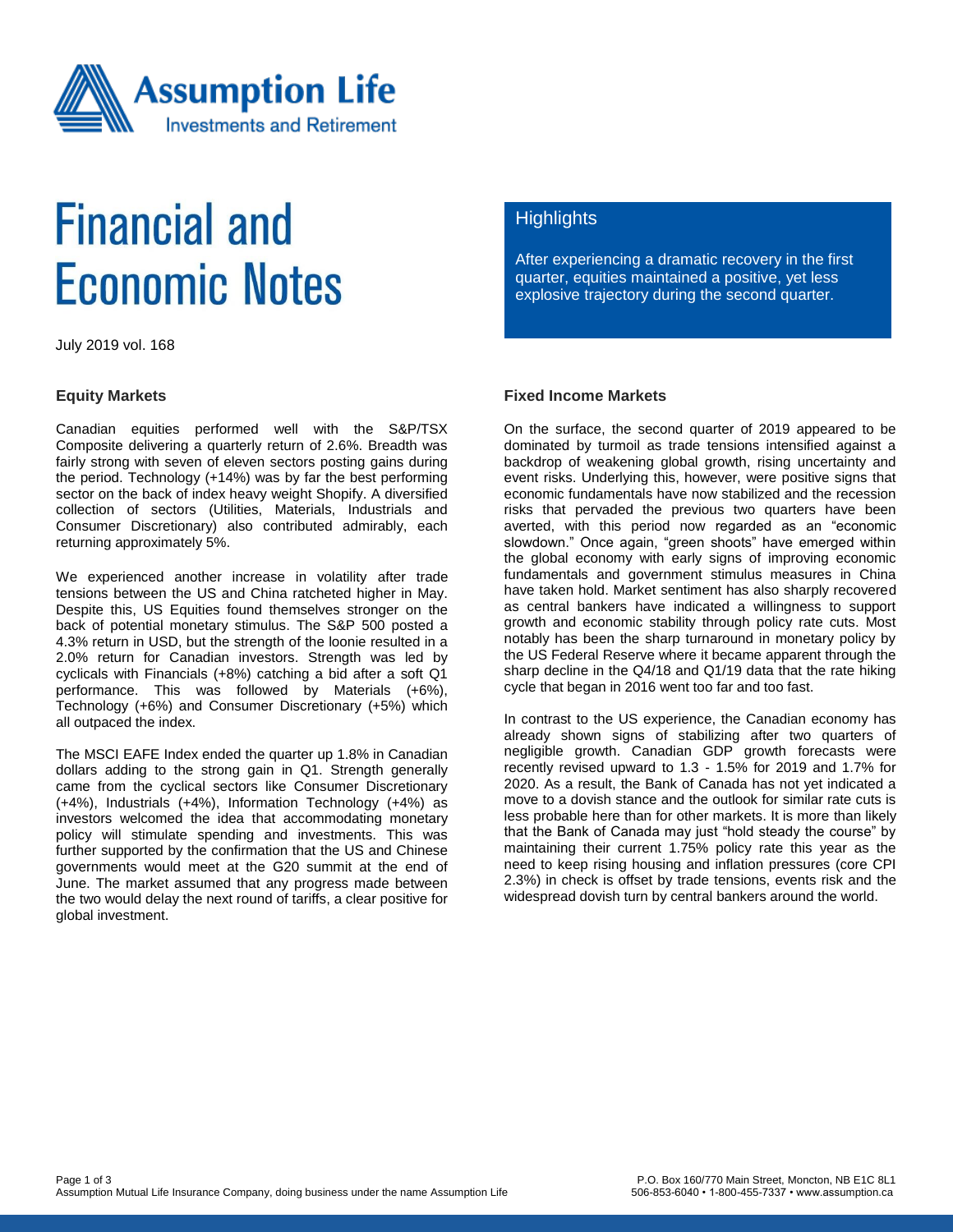

# **Financial and Economic Notes**

July 2019 vol. 168

#### **Equity Markets**

Canadian equities performed well with the S&P/TSX Composite delivering a quarterly return of 2.6%. Breadth was fairly strong with seven of eleven sectors posting gains during the period. Technology (+14%) was by far the best performing sector on the back of index heavy weight Shopify. A diversified collection of sectors (Utilities, Materials, Industrials and Consumer Discretionary) also contributed admirably, each returning approximately 5%.

We experienced another increase in volatility after trade tensions between the US and China ratcheted higher in May. Despite this, US Equities found themselves stronger on the back of potential monetary stimulus. The S&P 500 posted a 4.3% return in USD, but the strength of the loonie resulted in a 2.0% return for Canadian investors. Strength was led by cyclicals with Financials (+8%) catching a bid after a soft Q1 performance. This was followed by Materials (+6%), Technology (+6%) and Consumer Discretionary (+5%) which all outpaced the index.

The MSCI EAFE Index ended the quarter up 1.8% in Canadian dollars adding to the strong gain in Q1. Strength generally came from the cyclical sectors like Consumer Discretionary (+4%), Industrials (+4%), Information Technology (+4%) as investors welcomed the idea that accommodating monetary policy will stimulate spending and investments. This was further supported by the confirmation that the US and Chinese governments would meet at the G20 summit at the end of June. The market assumed that any progress made between the two would delay the next round of tariffs, a clear positive for global investment.

### **Highlights**

After experiencing a dramatic recovery in the first quarter, equities maintained a positive, yet less explosive trajectory during the second quarter.

#### **Fixed Income Markets**

On the surface, the second quarter of 2019 appeared to be dominated by turmoil as trade tensions intensified against a backdrop of weakening global growth, rising uncertainty and event risks. Underlying this, however, were positive signs that economic fundamentals have now stabilized and the recession risks that pervaded the previous two quarters have been averted, with this period now regarded as an "economic slowdown." Once again, "green shoots" have emerged within the global economy with early signs of improving economic fundamentals and government stimulus measures in China have taken hold. Market sentiment has also sharply recovered as central bankers have indicated a willingness to support growth and economic stability through policy rate cuts. Most notably has been the sharp turnaround in monetary policy by the US Federal Reserve where it became apparent through the sharp decline in the Q4/18 and Q1/19 data that the rate hiking cycle that began in 2016 went too far and too fast.

In contrast to the US experience, the Canadian economy has already shown signs of stabilizing after two quarters of negligible growth. Canadian GDP growth forecasts were recently revised upward to 1.3 - 1.5% for 2019 and 1.7% for 2020. As a result, the Bank of Canada has not yet indicated a move to a dovish stance and the outlook for similar rate cuts is less probable here than for other markets. It is more than likely that the Bank of Canada may just "hold steady the course" by maintaining their current 1.75% policy rate this year as the need to keep rising housing and inflation pressures (core CPI 2.3%) in check is offset by trade tensions, events risk and the widespread dovish turn by central bankers around the world.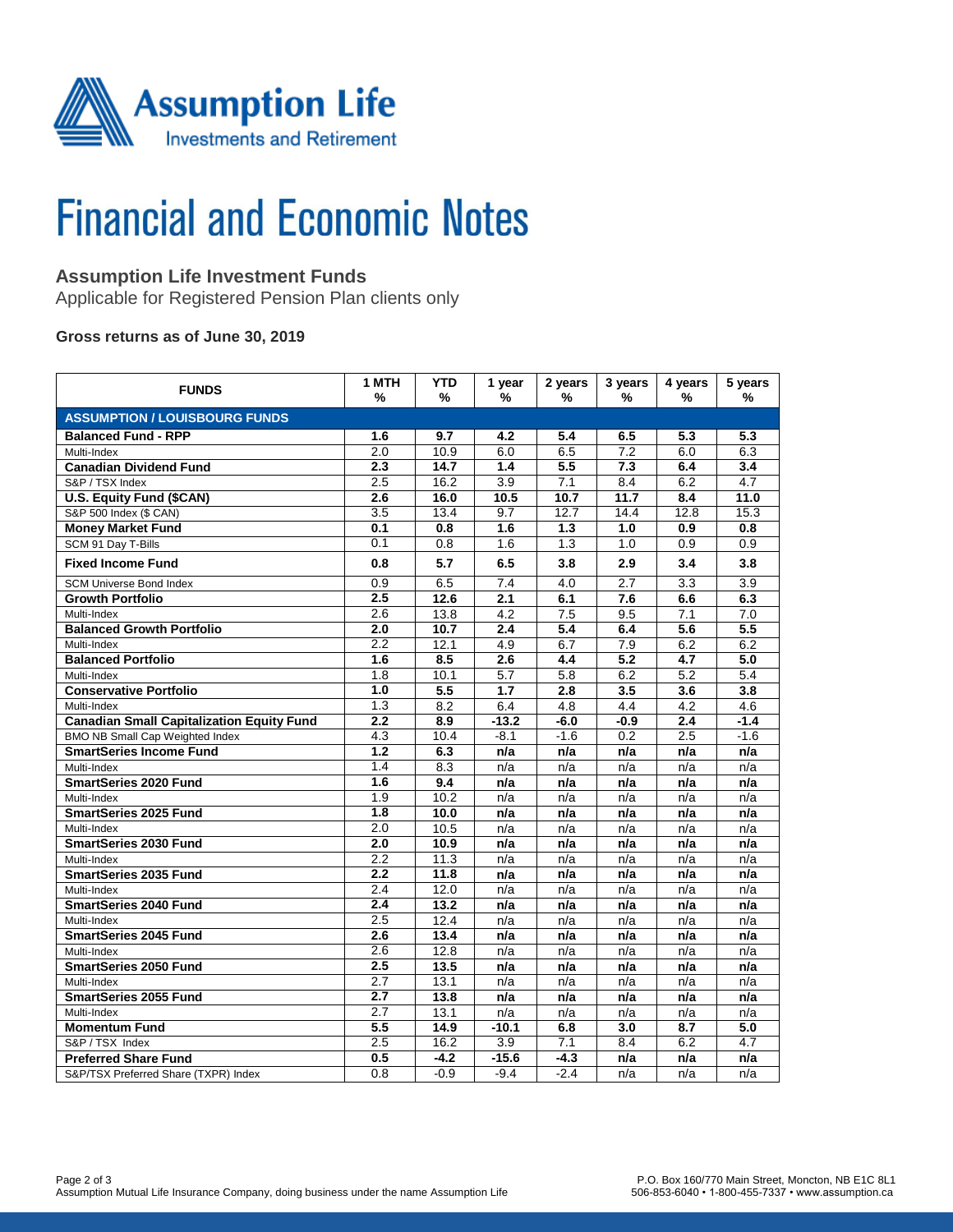

# **Financial and Economic Notes**

# **Assumption Life Investment Funds**

Applicable for Registered Pension Plan clients only

### **Gross returns as of June 30, 2019**

| <b>FUNDS</b>                                     | 1 MTH<br>%       | <b>YTD</b><br>% | 1 year<br>%      | 2 years<br>%     | 3 years<br>% | 4 years<br>%     | 5 years<br>%     |  |  |  |  |
|--------------------------------------------------|------------------|-----------------|------------------|------------------|--------------|------------------|------------------|--|--|--|--|
| <b>ASSUMPTION / LOUISBOURG FUNDS</b>             |                  |                 |                  |                  |              |                  |                  |  |  |  |  |
| <b>Balanced Fund - RPP</b>                       | 1.6              | 9.7             | 4.2              | 5.4              | 6.5          | 5.3              | 5.3              |  |  |  |  |
| Multi-Index                                      | 2.0              | 10.9            | 6.0              | 6.5              | 7.2          | 6.0              | 6.3              |  |  |  |  |
| <b>Canadian Dividend Fund</b>                    | 2.3              | 14.7            | 1.4              | 5.5              | 7.3          | 6.4              | 3.4              |  |  |  |  |
| S&P / TSX Index                                  | 2.5              | 16.2            | 3.9              | 7.1              | 8.4          | 6.2              | 4.7              |  |  |  |  |
| <b>U.S. Equity Fund (\$CAN)</b>                  | 2.6              | 16.0            | 10.5             | 10.7             | 11.7         | 8.4              | 11.0             |  |  |  |  |
| S&P 500 Index (\$ CAN)                           | 3.5              | 13.4            | 9.7              | 12.7             | 14.4         | 12.8             | 15.3             |  |  |  |  |
| <b>Money Market Fund</b>                         | 0.1              | 0.8             | 1.6              | 1.3              | 1.0          | 0.9              | 0.8              |  |  |  |  |
| SCM 91 Day T-Bills                               | 0.1              | 0.8             | 1.6              | 1.3              | 1.0          | 0.9              | 0.9              |  |  |  |  |
| <b>Fixed Income Fund</b>                         | 0.8              | 5.7             | 6.5              | 3.8              | 2.9          | 3.4              | 3.8              |  |  |  |  |
| <b>SCM Universe Bond Index</b>                   | 0.9              | 6.5             | 7.4              | 4.0              | 2.7          | 3.3              | 3.9              |  |  |  |  |
| <b>Growth Portfolio</b>                          | 2.5              | 12.6            | 2.1              | 6.1              | 7.6          | 6.6              | 6.3              |  |  |  |  |
| Multi-Index                                      | 2.6              | 13.8            | 4.2              | 7.5              | 9.5          | 7.1              | 7.0              |  |  |  |  |
| <b>Balanced Growth Portfolio</b>                 | 2.0              | 10.7            | 2.4              | $\overline{5.4}$ | 6.4          | 5.6              | $\overline{5.5}$ |  |  |  |  |
| Multi-Index                                      | $\overline{2.2}$ | 12.1            | 4.9              | 6.7              | 7.9          | 6.2              | 6.2              |  |  |  |  |
| <b>Balanced Portfolio</b>                        | 1.6              | 8.5             | $\overline{2.6}$ | 4.4              | 5.2          | 4.7              | 5.0              |  |  |  |  |
| Multi-Index                                      | 1.8              | 10.1            | 5.7              | 5.8              | 6.2          | 5.2              | 5.4              |  |  |  |  |
| <b>Conservative Portfolio</b>                    | 1.0              | 5.5             | 1.7              | 2.8              | 3.5          | 3.6              | 3.8              |  |  |  |  |
| Multi-Index                                      | 1.3              | 8.2             | 6.4              | 4.8              | 4.4          | 4.2              | 4.6              |  |  |  |  |
| <b>Canadian Small Capitalization Equity Fund</b> | 2.2              | 8.9             | $-13.2$          | -6.0             | $-0.9$       | $\overline{2.4}$ | $-1.4$           |  |  |  |  |
| <b>BMO NB Small Cap Weighted Index</b>           | 4.3              | 10.4            | $-8.1$           | $-1.6$           | 0.2          | 2.5              | $-1.6$           |  |  |  |  |
| <b>SmartSeries Income Fund</b>                   | 1.2              | 6.3             | n/a              | n/a              | n/a          | n/a              | n/a              |  |  |  |  |
| Multi-Index                                      | 1.4              | 8.3             | n/a              | n/a              | n/a          | n/a              | n/a              |  |  |  |  |
| <b>SmartSeries 2020 Fund</b>                     | 1.6              | 9.4             | n/a              | n/a              | n/a          | n/a              | n/a              |  |  |  |  |
| Multi-Index                                      | 1.9              | 10.2            | n/a              | n/a              | n/a          | n/a              | n/a              |  |  |  |  |
| <b>SmartSeries 2025 Fund</b>                     | 1.8              | 10.0            | n/a              | n/a              | n/a          | n/a              | n/a              |  |  |  |  |
| Multi-Index                                      | 2.0              | 10.5            | n/a              | n/a              | n/a          | n/a              | n/a              |  |  |  |  |
| <b>SmartSeries 2030 Fund</b>                     | 2.0              | 10.9            | n/a              | n/a              | n/a          | n/a              | n/a              |  |  |  |  |
| Multi-Index                                      | 2.2              | 11.3            | n/a              | n/a              | n/a          | n/a              | n/a              |  |  |  |  |
| <b>SmartSeries 2035 Fund</b>                     | 2.2              | 11.8            | n/a              | n/a              | n/a          | n/a              | n/a              |  |  |  |  |
| Multi-Index                                      | 2.4              | 12.0            | n/a              | n/a              | n/a          | n/a              | n/a              |  |  |  |  |
| SmartSeries 2040 Fund                            | 2.4              | 13.2            | n/a              | n/a              | n/a          | n/a              | n/a              |  |  |  |  |
| Multi-Index                                      | 2.5              | 12.4            | n/a              | n/a              | n/a          | n/a              | n/a              |  |  |  |  |
| <b>SmartSeries 2045 Fund</b>                     | 2.6              | 13.4            | n/a              | n/a              | n/a          | n/a              | n/a              |  |  |  |  |
| Multi-Index                                      | 2.6              | 12.8            | n/a              | n/a              | n/a          | n/a              | n/a              |  |  |  |  |
| <b>SmartSeries 2050 Fund</b>                     | $\overline{2.5}$ | 13.5            | n/a              | n/a              | n/a          | n/a              | n/a              |  |  |  |  |
| Multi-Index                                      | 2.7              | 13.1            | n/a              | n/a              | n/a          | n/a              | n/a              |  |  |  |  |
| <b>SmartSeries 2055 Fund</b>                     | 2.7              | 13.8            | n/a              | n/a              | n/a          | n/a              | n/a              |  |  |  |  |
| Multi-Index                                      | 2.7              | 13.1            | n/a              | n/a              | n/a          | n/a              | n/a              |  |  |  |  |
| <b>Momentum Fund</b>                             | 5.5              | 14.9            | $-10.1$          | 6.8              | 3.0          | 8.7              | 5.0              |  |  |  |  |
| S&P / TSX Index                                  | 2.5              | 16.2            | 3.9              | 7.1              | 8.4          | 6.2              | 4.7              |  |  |  |  |
| <b>Preferred Share Fund</b>                      | 0.5              | $-4.2$          | $-15.6$          | $-4.3$           | n/a          | n/a              | n/a              |  |  |  |  |
| S&P/TSX Preferred Share (TXPR) Index             | 0.8              | $-0.9$          | $-9.4$           | $-2.4$           | n/a          | n/a              | n/a              |  |  |  |  |